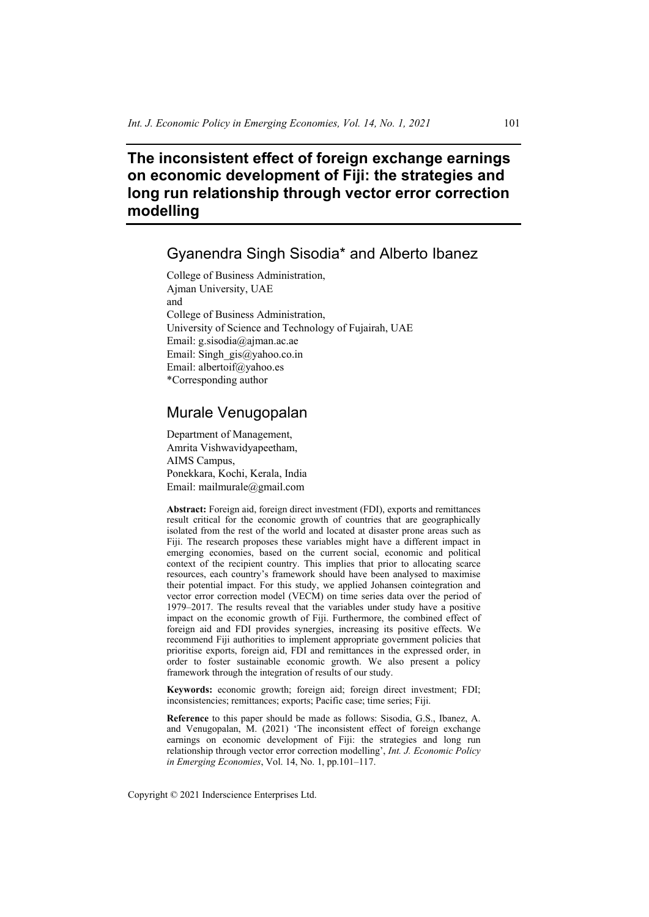# **The inconsistent effect of foreign exchange earnings on economic development of Fiji: the strategies and long run relationship through vector error correction modelling**

# Gyanendra Singh Sisodia\* and Alberto Ibanez

College of Business Administration, Ajman University, UAE and College of Business Administration, University of Science and Technology of Fujairah, UAE Email: g.sisodia@ajman.ac.ae Email: Singh\_gis@yahoo.co.in Email: albertoif@yahoo.es \*Corresponding author

## Murale Venugopalan

Department of Management, Amrita Vishwavidyapeetham, AIMS Campus, Ponekkara, Kochi, Kerala, India Email: mailmurale@gmail.com

**Abstract:** Foreign aid, foreign direct investment (FDI), exports and remittances result critical for the economic growth of countries that are geographically isolated from the rest of the world and located at disaster prone areas such as Fiji. The research proposes these variables might have a different impact in emerging economies, based on the current social, economic and political context of the recipient country. This implies that prior to allocating scarce resources, each country's framework should have been analysed to maximise their potential impact. For this study, we applied Johansen cointegration and vector error correction model (VECM) on time series data over the period of 1979–2017. The results reveal that the variables under study have a positive impact on the economic growth of Fiji. Furthermore, the combined effect of foreign aid and FDI provides synergies, increasing its positive effects. We recommend Fiji authorities to implement appropriate government policies that prioritise exports, foreign aid, FDI and remittances in the expressed order, in order to foster sustainable economic growth. We also present a policy framework through the integration of results of our study.

**Keywords:** economic growth; foreign aid; foreign direct investment; FDI; inconsistencies; remittances; exports; Pacific case; time series; Fiji.

**Reference** to this paper should be made as follows: Sisodia, G.S., Ibanez, A. and Venugopalan, M. (2021) 'The inconsistent effect of foreign exchange earnings on economic development of Fiji: the strategies and long run relationship through vector error correction modelling', *Int. J. Economic Policy in Emerging Economies*, Vol. 14, No. 1, pp.101–117.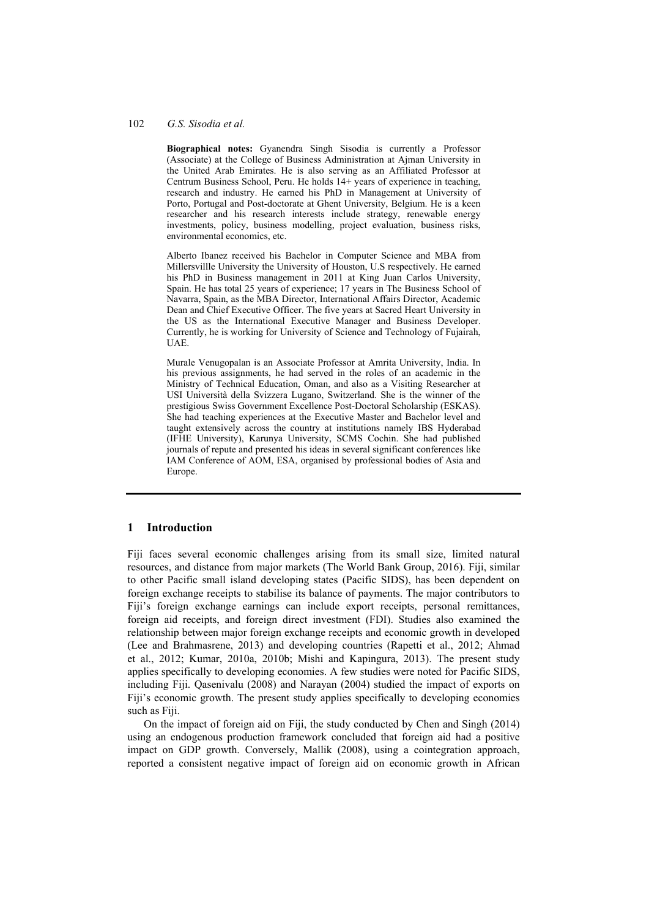### 102 *G.S. Sisodia et al.*

**Biographical notes:** Gyanendra Singh Sisodia is currently a Professor (Associate) at the College of Business Administration at Ajman University in the United Arab Emirates. He is also serving as an Affiliated Professor at Centrum Business School, Peru. He holds 14+ years of experience in teaching, research and industry. He earned his PhD in Management at University of Porto, Portugal and Post-doctorate at Ghent University, Belgium. He is a keen researcher and his research interests include strategy, renewable energy investments, policy, business modelling, project evaluation, business risks, environmental economics, etc.

Alberto Ibanez received his Bachelor in Computer Science and MBA from Millersvillle University the University of Houston, U.S respectively. He earned his PhD in Business management in 2011 at King Juan Carlos University, Spain. He has total 25 years of experience; 17 years in The Business School of Navarra, Spain, as the MBA Director, International Affairs Director, Academic Dean and Chief Executive Officer. The five years at Sacred Heart University in the US as the International Executive Manager and Business Developer. Currently, he is working for University of Science and Technology of Fujairah, UAE.

Murale Venugopalan is an Associate Professor at Amrita University, India. In his previous assignments, he had served in the roles of an academic in the Ministry of Technical Education, Oman, and also as a Visiting Researcher at USI Università della Svizzera Lugano, Switzerland. She is the winner of the prestigious Swiss Government Excellence Post-Doctoral Scholarship (ESKAS). She had teaching experiences at the Executive Master and Bachelor level and taught extensively across the country at institutions namely IBS Hyderabad (IFHE University), Karunya University, SCMS Cochin. She had published journals of repute and presented his ideas in several significant conferences like IAM Conference of AOM, ESA, organised by professional bodies of Asia and Europe.

## **1 Introduction**

Fiji faces several economic challenges arising from its small size, limited natural resources, and distance from major markets (The World Bank Group, 2016). Fiji, similar to other Pacific small island developing states (Pacific SIDS), has been dependent on foreign exchange receipts to stabilise its balance of payments. The major contributors to Fiji's foreign exchange earnings can include export receipts, personal remittances, foreign aid receipts, and foreign direct investment (FDI). Studies also examined the relationship between major foreign exchange receipts and economic growth in developed (Lee and Brahmasrene, 2013) and developing countries (Rapetti et al., 2012; Ahmad et al., 2012; Kumar, 2010a, 2010b; Mishi and Kapingura, 2013). The present study applies specifically to developing economies. A few studies were noted for Pacific SIDS, including Fiji. Qasenivalu (2008) and Narayan (2004) studied the impact of exports on Fiji's economic growth. The present study applies specifically to developing economies such as Fiji.

On the impact of foreign aid on Fiji, the study conducted by Chen and Singh (2014) using an endogenous production framework concluded that foreign aid had a positive impact on GDP growth. Conversely, Mallik (2008), using a cointegration approach, reported a consistent negative impact of foreign aid on economic growth in African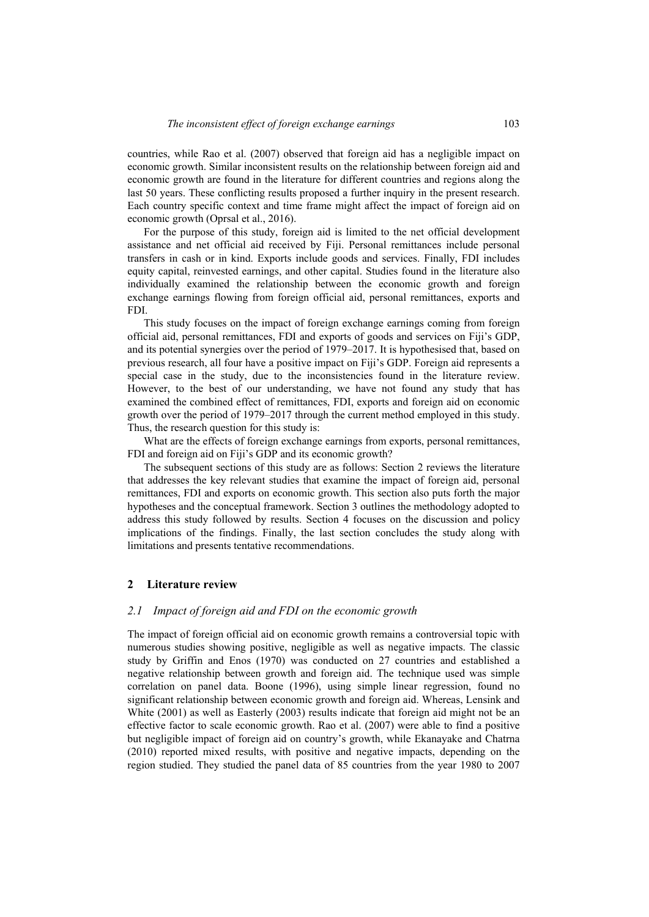countries, while Rao et al. (2007) observed that foreign aid has a negligible impact on economic growth. Similar inconsistent results on the relationship between foreign aid and economic growth are found in the literature for different countries and regions along the last 50 years. These conflicting results proposed a further inquiry in the present research. Each country specific context and time frame might affect the impact of foreign aid on economic growth (Oprsal et al., 2016).

For the purpose of this study, foreign aid is limited to the net official development assistance and net official aid received by Fiji. Personal remittances include personal transfers in cash or in kind. Exports include goods and services. Finally, FDI includes equity capital, reinvested earnings, and other capital. Studies found in the literature also individually examined the relationship between the economic growth and foreign exchange earnings flowing from foreign official aid, personal remittances, exports and FDI.

This study focuses on the impact of foreign exchange earnings coming from foreign official aid, personal remittances, FDI and exports of goods and services on Fiji's GDP, and its potential synergies over the period of 1979–2017. It is hypothesised that, based on previous research, all four have a positive impact on Fiji's GDP. Foreign aid represents a special case in the study, due to the inconsistencies found in the literature review. However, to the best of our understanding, we have not found any study that has examined the combined effect of remittances, FDI, exports and foreign aid on economic growth over the period of 1979–2017 through the current method employed in this study. Thus, the research question for this study is:

What are the effects of foreign exchange earnings from exports, personal remittances, FDI and foreign aid on Fiji's GDP and its economic growth?

The subsequent sections of this study are as follows: Section 2 reviews the literature that addresses the key relevant studies that examine the impact of foreign aid, personal remittances, FDI and exports on economic growth. This section also puts forth the major hypotheses and the conceptual framework. Section 3 outlines the methodology adopted to address this study followed by results. Section 4 focuses on the discussion and policy implications of the findings. Finally, the last section concludes the study along with limitations and presents tentative recommendations.

### **2 Literature review**

#### *2.1 Impact of foreign aid and FDI on the economic growth*

The impact of foreign official aid on economic growth remains a controversial topic with numerous studies showing positive, negligible as well as negative impacts. The classic study by Griffin and Enos (1970) was conducted on 27 countries and established a negative relationship between growth and foreign aid. The technique used was simple correlation on panel data. Boone (1996), using simple linear regression, found no significant relationship between economic growth and foreign aid. Whereas, Lensink and White (2001) as well as Easterly (2003) results indicate that foreign aid might not be an effective factor to scale economic growth. Rao et al. (2007) were able to find a positive but negligible impact of foreign aid on country's growth, while Ekanayake and Chatrna (2010) reported mixed results, with positive and negative impacts, depending on the region studied. They studied the panel data of 85 countries from the year 1980 to 2007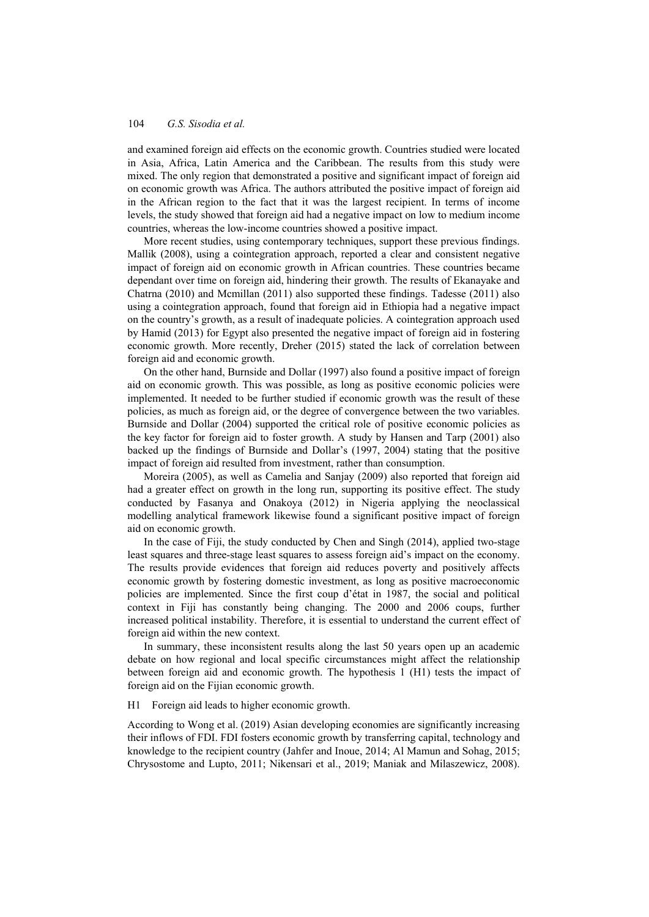and examined foreign aid effects on the economic growth. Countries studied were located in Asia, Africa, Latin America and the Caribbean. The results from this study were mixed. The only region that demonstrated a positive and significant impact of foreign aid on economic growth was Africa. The authors attributed the positive impact of foreign aid in the African region to the fact that it was the largest recipient. In terms of income levels, the study showed that foreign aid had a negative impact on low to medium income countries, whereas the low-income countries showed a positive impact.

More recent studies, using contemporary techniques, support these previous findings. Mallik (2008), using a cointegration approach, reported a clear and consistent negative impact of foreign aid on economic growth in African countries. These countries became dependant over time on foreign aid, hindering their growth. The results of Ekanayake and Chatrna (2010) and Mcmillan (2011) also supported these findings. Tadesse (2011) also using a cointegration approach, found that foreign aid in Ethiopia had a negative impact on the country's growth, as a result of inadequate policies. A cointegration approach used by Hamid (2013) for Egypt also presented the negative impact of foreign aid in fostering economic growth. More recently, Dreher (2015) stated the lack of correlation between foreign aid and economic growth.

On the other hand, Burnside and Dollar (1997) also found a positive impact of foreign aid on economic growth. This was possible, as long as positive economic policies were implemented. It needed to be further studied if economic growth was the result of these policies, as much as foreign aid, or the degree of convergence between the two variables. Burnside and Dollar (2004) supported the critical role of positive economic policies as the key factor for foreign aid to foster growth. A study by Hansen and Tarp (2001) also backed up the findings of Burnside and Dollar's (1997, 2004) stating that the positive impact of foreign aid resulted from investment, rather than consumption.

Moreira (2005), as well as Camelia and Sanjay (2009) also reported that foreign aid had a greater effect on growth in the long run, supporting its positive effect. The study conducted by Fasanya and Onakoya (2012) in Nigeria applying the neoclassical modelling analytical framework likewise found a significant positive impact of foreign aid on economic growth.

In the case of Fiji, the study conducted by Chen and Singh (2014), applied two-stage least squares and three-stage least squares to assess foreign aid's impact on the economy. The results provide evidences that foreign aid reduces poverty and positively affects economic growth by fostering domestic investment, as long as positive macroeconomic policies are implemented. Since the first coup d'état in 1987, the social and political context in Fiji has constantly being changing. The 2000 and 2006 coups, further increased political instability. Therefore, it is essential to understand the current effect of foreign aid within the new context.

In summary, these inconsistent results along the last 50 years open up an academic debate on how regional and local specific circumstances might affect the relationship between foreign aid and economic growth. The hypothesis 1 (H1) tests the impact of foreign aid on the Fijian economic growth.

H1 Foreign aid leads to higher economic growth.

According to Wong et al. (2019) Asian developing economies are significantly increasing their inflows of FDI. FDI fosters economic growth by transferring capital, technology and knowledge to the recipient country (Jahfer and Inoue, 2014; Al Mamun and Sohag, 2015; Chrysostome and Lupto, 2011; Nikensari et al., 2019; Maniak and Milaszewicz, 2008).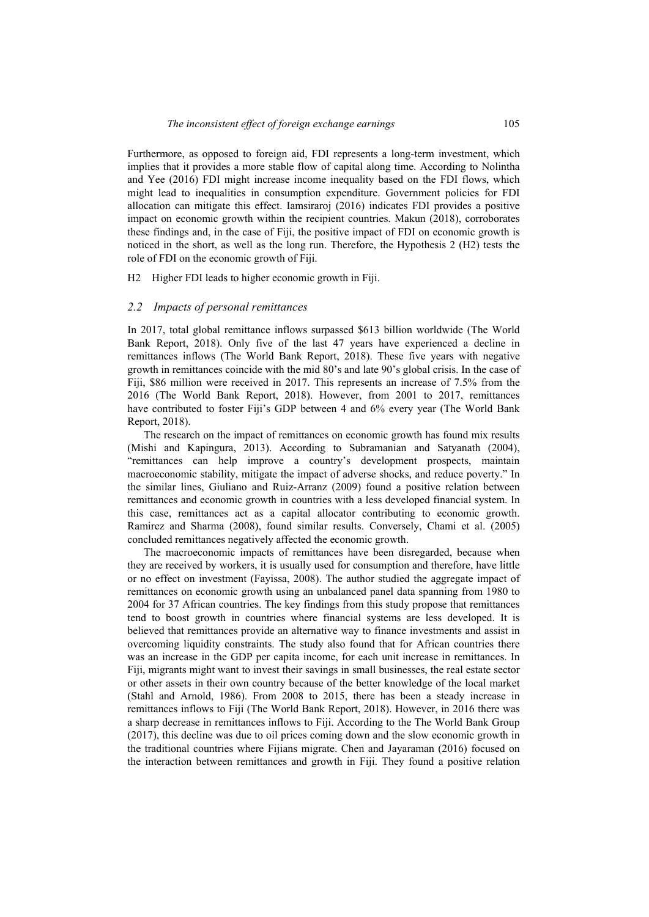Furthermore, as opposed to foreign aid, FDI represents a long-term investment, which implies that it provides a more stable flow of capital along time. According to Nolintha and Yee (2016) FDI might increase income inequality based on the FDI flows, which might lead to inequalities in consumption expenditure. Government policies for FDI allocation can mitigate this effect. Iamsiraroj (2016) indicates FDI provides a positive impact on economic growth within the recipient countries. Makun (2018), corroborates these findings and, in the case of Fiji, the positive impact of FDI on economic growth is noticed in the short, as well as the long run. Therefore, the Hypothesis 2 (H2) tests the role of FDI on the economic growth of Fiji.

H2 Higher FDI leads to higher economic growth in Fiji.

### *2.2 Impacts of personal remittances*

In 2017, total global remittance inflows surpassed \$613 billion worldwide (The World Bank Report, 2018). Only five of the last 47 years have experienced a decline in remittances inflows (The World Bank Report, 2018). These five years with negative growth in remittances coincide with the mid 80's and late 90's global crisis. In the case of Fiji, \$86 million were received in 2017. This represents an increase of 7.5% from the 2016 (The World Bank Report, 2018). However, from 2001 to 2017, remittances have contributed to foster Fiji's GDP between 4 and 6% every year (The World Bank Report, 2018).

The research on the impact of remittances on economic growth has found mix results (Mishi and Kapingura, 2013). According to Subramanian and Satyanath (2004), "remittances can help improve a country's development prospects, maintain macroeconomic stability, mitigate the impact of adverse shocks, and reduce poverty." In the similar lines, Giuliano and Ruiz-Arranz (2009) found a positive relation between remittances and economic growth in countries with a less developed financial system. In this case, remittances act as a capital allocator contributing to economic growth. Ramirez and Sharma (2008), found similar results. Conversely, Chami et al. (2005) concluded remittances negatively affected the economic growth.

The macroeconomic impacts of remittances have been disregarded, because when they are received by workers, it is usually used for consumption and therefore, have little or no effect on investment (Fayissa, 2008). The author studied the aggregate impact of remittances on economic growth using an unbalanced panel data spanning from 1980 to 2004 for 37 African countries. The key findings from this study propose that remittances tend to boost growth in countries where financial systems are less developed. It is believed that remittances provide an alternative way to finance investments and assist in overcoming liquidity constraints. The study also found that for African countries there was an increase in the GDP per capita income, for each unit increase in remittances. In Fiji, migrants might want to invest their savings in small businesses, the real estate sector or other assets in their own country because of the better knowledge of the local market (Stahl and Arnold, 1986). From 2008 to 2015, there has been a steady increase in remittances inflows to Fiji (The World Bank Report, 2018). However, in 2016 there was a sharp decrease in remittances inflows to Fiji. According to the The World Bank Group (2017), this decline was due to oil prices coming down and the slow economic growth in the traditional countries where Fijians migrate. Chen and Jayaraman (2016) focused on the interaction between remittances and growth in Fiji. They found a positive relation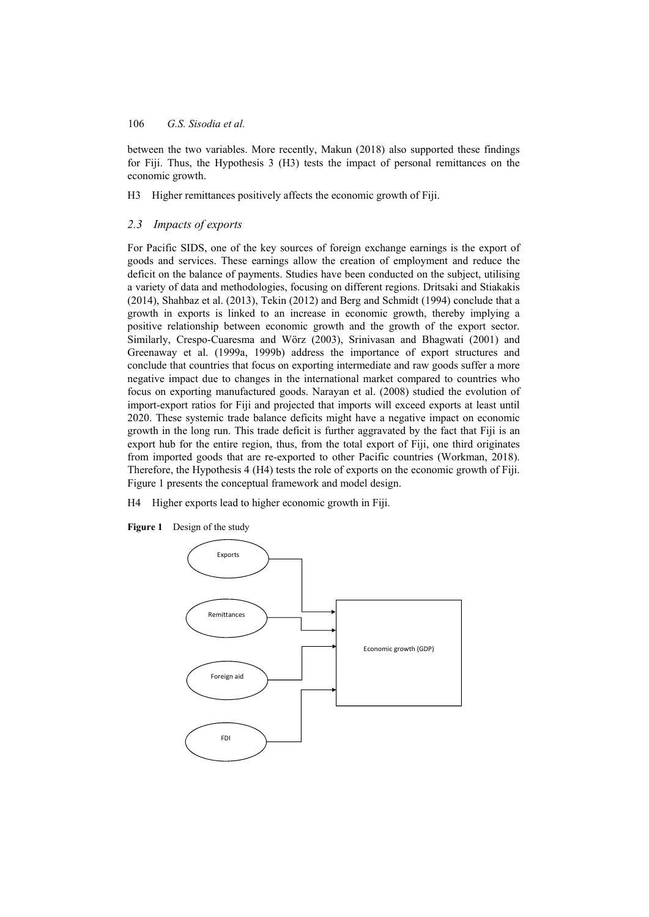between the two variables. More recently, Makun (2018) also supported these findings for Fiji. Thus, the Hypothesis 3 (H3) tests the impact of personal remittances on the economic growth.

H3 Higher remittances positively affects the economic growth of Fiji.

## *2.3 Impacts of exports*

For Pacific SIDS, one of the key sources of foreign exchange earnings is the export of goods and services. These earnings allow the creation of employment and reduce the deficit on the balance of payments. Studies have been conducted on the subject, utilising a variety of data and methodologies, focusing on different regions. Dritsaki and Stiakakis (2014), Shahbaz et al. (2013), Tekin (2012) and Berg and Schmidt (1994) conclude that a growth in exports is linked to an increase in economic growth, thereby implying a positive relationship between economic growth and the growth of the export sector. Similarly, Crespo-Cuaresma and Wörz (2003), Srinivasan and Bhagwati (2001) and Greenaway et al. (1999a, 1999b) address the importance of export structures and conclude that countries that focus on exporting intermediate and raw goods suffer a more negative impact due to changes in the international market compared to countries who focus on exporting manufactured goods. Narayan et al. (2008) studied the evolution of import-export ratios for Fiji and projected that imports will exceed exports at least until 2020. These systemic trade balance deficits might have a negative impact on economic growth in the long run. This trade deficit is further aggravated by the fact that Fiji is an export hub for the entire region, thus, from the total export of Fiji, one third originates from imported goods that are re-exported to other Pacific countries (Workman, 2018). Therefore, the Hypothesis 4 (H4) tests the role of exports on the economic growth of Fiji. Figure 1 presents the conceptual framework and model design.

H4 Higher exports lead to higher economic growth in Fiji.



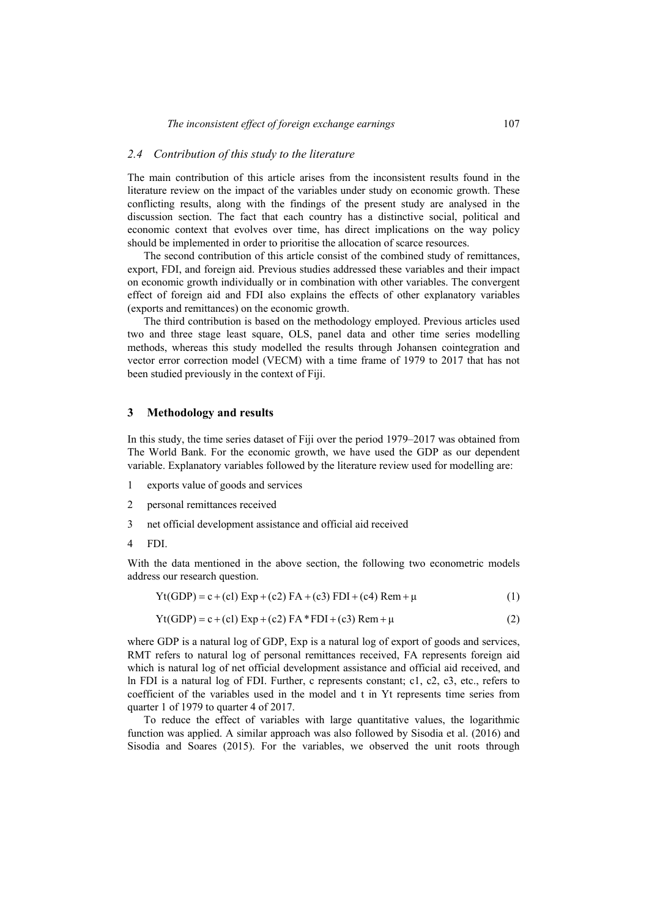### *2.4 Contribution of this study to the literature*

The main contribution of this article arises from the inconsistent results found in the literature review on the impact of the variables under study on economic growth. These conflicting results, along with the findings of the present study are analysed in the discussion section. The fact that each country has a distinctive social, political and economic context that evolves over time, has direct implications on the way policy should be implemented in order to prioritise the allocation of scarce resources.

The second contribution of this article consist of the combined study of remittances, export, FDI, and foreign aid. Previous studies addressed these variables and their impact on economic growth individually or in combination with other variables. The convergent effect of foreign aid and FDI also explains the effects of other explanatory variables (exports and remittances) on the economic growth.

The third contribution is based on the methodology employed. Previous articles used two and three stage least square, OLS, panel data and other time series modelling methods, whereas this study modelled the results through Johansen cointegration and vector error correction model (VECM) with a time frame of 1979 to 2017 that has not been studied previously in the context of Fiji.

### **3 Methodology and results**

In this study, the time series dataset of Fiji over the period 1979–2017 was obtained from The World Bank. For the economic growth, we have used the GDP as our dependent variable. Explanatory variables followed by the literature review used for modelling are:

- 1 exports value of goods and services
- 2 personal remittances received
- 3 net official development assistance and official aid received
- 4 FDI.

With the data mentioned in the above section, the following two econometric models address our research question.

$$
Yt(GDP) = c + (c1) Exp + (c2) FA + (c3) FDI + (c4) Rem + \mu
$$
 (1)

$$
Yt(GDP) = c + (cl) Exp + (c2) FA*FDI + (c3) Rem + \mu
$$
\n(2)

where GDP is a natural log of GDP, Exp is a natural log of export of goods and services, RMT refers to natural log of personal remittances received, FA represents foreign aid which is natural log of net official development assistance and official aid received, and ln FDI is a natural log of FDI. Further, c represents constant; c1, c2, c3, etc., refers to coefficient of the variables used in the model and t in Yt represents time series from quarter 1 of 1979 to quarter 4 of 2017.

To reduce the effect of variables with large quantitative values, the logarithmic function was applied. A similar approach was also followed by Sisodia et al. (2016) and Sisodia and Soares (2015). For the variables, we observed the unit roots through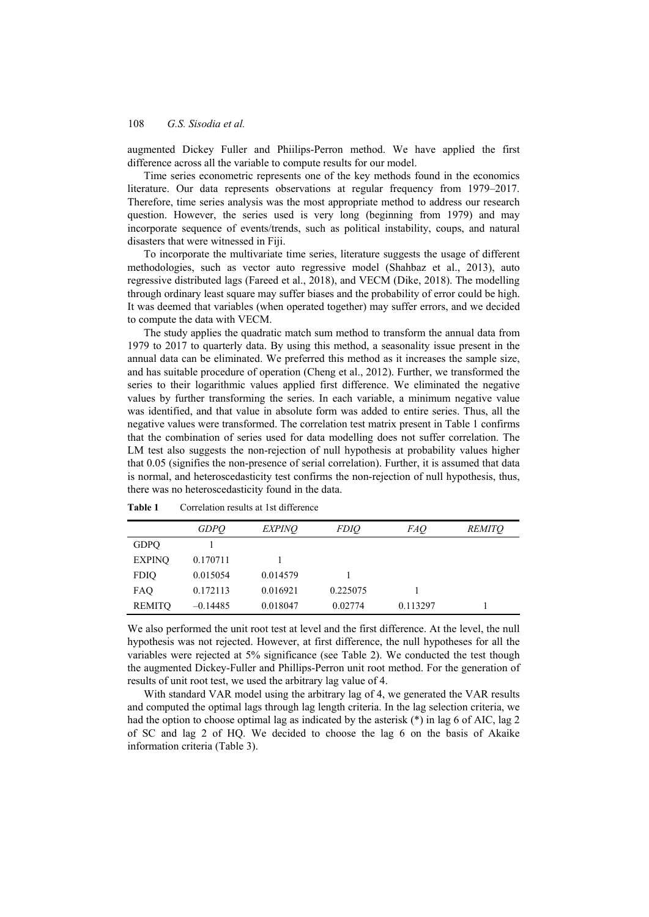augmented Dickey Fuller and Phiilips-Perron method. We have applied the first difference across all the variable to compute results for our model.

Time series econometric represents one of the key methods found in the economics literature. Our data represents observations at regular frequency from 1979–2017. Therefore, time series analysis was the most appropriate method to address our research question. However, the series used is very long (beginning from 1979) and may incorporate sequence of events/trends, such as political instability, coups, and natural disasters that were witnessed in Fiji.

To incorporate the multivariate time series, literature suggests the usage of different methodologies, such as vector auto regressive model (Shahbaz et al., 2013), auto regressive distributed lags (Fareed et al., 2018), and VECM (Dike, 2018). The modelling through ordinary least square may suffer biases and the probability of error could be high. It was deemed that variables (when operated together) may suffer errors, and we decided to compute the data with VECM.

The study applies the quadratic match sum method to transform the annual data from 1979 to 2017 to quarterly data. By using this method, a seasonality issue present in the annual data can be eliminated. We preferred this method as it increases the sample size, and has suitable procedure of operation (Cheng et al., 2012). Further, we transformed the series to their logarithmic values applied first difference. We eliminated the negative values by further transforming the series. In each variable, a minimum negative value was identified, and that value in absolute form was added to entire series. Thus, all the negative values were transformed. The correlation test matrix present in Table 1 confirms that the combination of series used for data modelling does not suffer correlation. The LM test also suggests the non-rejection of null hypothesis at probability values higher that 0.05 (signifies the non-presence of serial correlation). Further, it is assumed that data is normal, and heteroscedasticity test confirms the non-rejection of null hypothesis, thus, there was no heteroscedasticity found in the data.

|               | <b>GDPO</b> | <i>EXPINO</i> | <i>FDIO</i> | <i>FAQ</i> | <i>REMITO</i> |
|---------------|-------------|---------------|-------------|------------|---------------|
| <b>GDPQ</b>   |             |               |             |            |               |
| <b>EXPINQ</b> | 0.170711    |               |             |            |               |
| <b>FDIQ</b>   | 0.015054    | 0.014579      |             |            |               |
| FAQ           | 0.172113    | 0.016921      | 0.225075    |            |               |
| <b>REMITQ</b> | $-0.14485$  | 0.018047      | 0.02774     | 0.113297   |               |

**Table 1** Correlation results at 1st difference

We also performed the unit root test at level and the first difference. At the level, the null hypothesis was not rejected. However, at first difference, the null hypotheses for all the variables were rejected at 5% significance (see Table 2). We conducted the test though the augmented Dickey-Fuller and Phillips-Perron unit root method. For the generation of results of unit root test, we used the arbitrary lag value of 4.

With standard VAR model using the arbitrary lag of 4, we generated the VAR results and computed the optimal lags through lag length criteria. In the lag selection criteria, we had the option to choose optimal lag as indicated by the asterisk (\*) in lag 6 of AIC, lag 2 of SC and lag 2 of HQ. We decided to choose the lag 6 on the basis of Akaike information criteria (Table 3).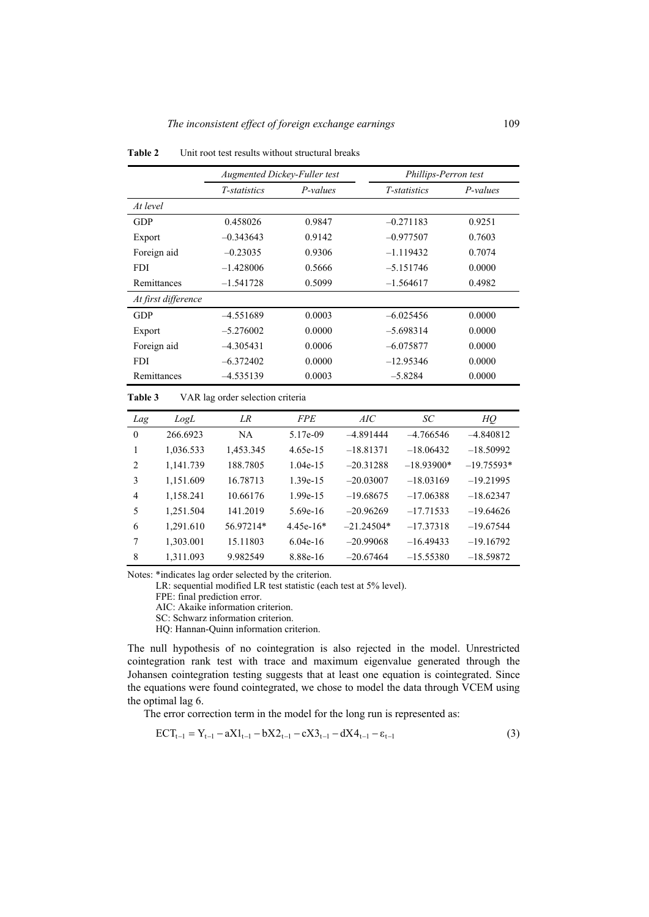|                     | <b>Augmented Dickey-Fuller test</b><br>P-values<br><i>T</i> -statistics |        | Phillips-Perron test |          |  |
|---------------------|-------------------------------------------------------------------------|--------|----------------------|----------|--|
|                     |                                                                         |        | <i>T</i> -statistics | P-values |  |
| At level            |                                                                         |        |                      |          |  |
| <b>GDP</b>          | 0.458026                                                                | 0.9847 | $-0.271183$          | 0.9251   |  |
| Export              | $-0.343643$                                                             | 0.9142 | $-0.977507$          | 0.7603   |  |
| Foreign aid         | $-0.23035$                                                              | 0.9306 | $-1.119432$          | 0.7074   |  |
| <b>FDI</b>          | $-1.428006$                                                             | 0.5666 | $-5.151746$          | 0.0000   |  |
| Remittances         | $-1.541728$                                                             | 0.5099 | $-1.564617$          | 0.4982   |  |
| At first difference |                                                                         |        |                      |          |  |
| <b>GDP</b>          | $-4.551689$                                                             | 0.0003 | $-6.025456$          | 0.0000   |  |
| Export              | $-5.276002$                                                             | 0.0000 | $-5.698314$          | 0.0000   |  |
| Foreign aid         | $-4.305431$                                                             | 0.0006 | $-6.075877$          | 0.0000   |  |
| <b>FDI</b>          | $-6.372402$                                                             | 0.0000 | $-12.95346$          | 0.0000   |  |
| Remittances         | $-4.535139$                                                             | 0.0003 | $-5.8284$            | 0.0000   |  |

**Table 2** Unit root test results without structural breaks

| <b>Table 3</b> |  |  | VAR lag order selection criteria |  |
|----------------|--|--|----------------------------------|--|
|----------------|--|--|----------------------------------|--|

| Lag      | LogL      | LR.       | <b>FPE</b>  | AIC          | SC           | HQ           |
|----------|-----------|-----------|-------------|--------------|--------------|--------------|
| $\theta$ | 266.6923  | <b>NA</b> | 5.17e-09    | $-4.891444$  | $-4.766546$  | $-4.840812$  |
| 1        | 1,036.533 | 1,453.345 | $4.65e-15$  | $-18.81371$  | $-18.06432$  | $-18.50992$  |
| 2        | 1,141.739 | 188.7805  | $1.04e-15$  | $-20.31288$  | $-18.93900*$ | $-19.75593*$ |
| 3        | 1,151.609 | 16.78713  | $1.39e-15$  | $-20.03007$  | $-18.03169$  | $-19.21995$  |
| 4        | 1,158.241 | 10.66176  | $1.99e-15$  | $-19.68675$  | $-17.06388$  | $-18.62347$  |
| 5        | 1.251.504 | 141.2019  | $5.69e-16$  | $-20.96269$  | $-17.71533$  | $-19.64626$  |
| 6        | 1.291.610 | 56.97214* | $4.45e-16*$ | $-21.24504*$ | $-17.37318$  | $-19.67544$  |
| 7        | 1,303.001 | 15.11803  | $6.04e-16$  | $-20.99068$  | $-16.49433$  | $-19.16792$  |
| 8        | 1.311.093 | 9.982549  | 8.88e-16    | $-20.67464$  | $-15.55380$  | $-18.59872$  |

Notes: \*indicates lag order selected by the criterion.

LR: sequential modified LR test statistic (each test at 5% level).

FPE: final prediction error.

AIC: Akaike information criterion.

SC: Schwarz information criterion.

HQ: Hannan-Quinn information criterion.

The null hypothesis of no cointegration is also rejected in the model. Unrestricted cointegration rank test with trace and maximum eigenvalue generated through the Johansen cointegration testing suggests that at least one equation is cointegrated. Since the equations were found cointegrated, we chose to model the data through VCEM using the optimal lag 6.

The error correction term in the model for the long run is represented as:

$$
ECT_{t-1} = Y_{t-1} - aX1_{t-1} - bX2_{t-1} - cX3_{t-1} - dX4_{t-1} - \varepsilon_{t-1}
$$
 (3)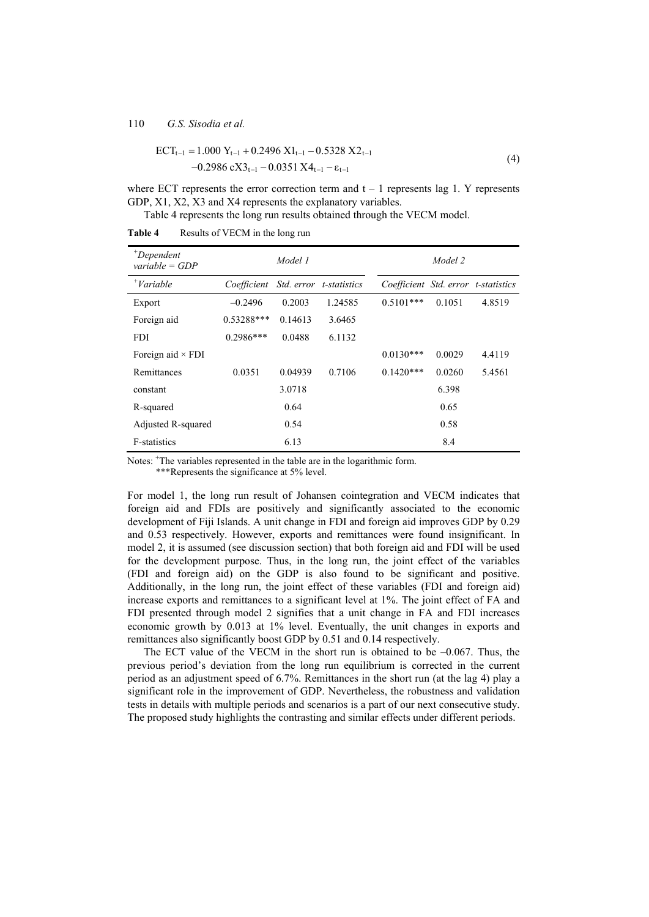$$
ECT_{t-1} = 1.000 Y_{t-1} + 0.2496 X1_{t-1} - 0.5328 X2_{t-1}
$$
  
-0.2986 cX3<sub>t-1</sub> - 0.0351 X4<sub>t-1</sub> -  $\varepsilon_{t-1}$  (4)

where ECT represents the error correction term and  $t - 1$  represents lag 1. Y represents GDP, X1, X2, X3 and X4 represents the explanatory variables.

Table 4 represents the long run results obtained through the VECM model.

| $^+$ Dependent<br>variable = $GDP$ |              | Model 1 |                         |                                     | Model 2 |        |
|------------------------------------|--------------|---------|-------------------------|-------------------------------------|---------|--------|
| $^{\dagger}$ Variable              | Coefficient  |         | Std. error t-statistics | Coefficient Std. error t-statistics |         |        |
| Export                             | $-0.2496$    | 0.2003  | 1.24585                 | $0.5101***$                         | 0.1051  | 4.8519 |
| Foreign aid                        | $0.53288***$ | 0.14613 | 3.6465                  |                                     |         |        |
| <b>FDI</b>                         | $0.2986***$  | 0.0488  | 6.1132                  |                                     |         |        |
| Foreign aid $\times$ FDI           |              |         |                         | $0.0130***$                         | 0.0029  | 4.4119 |
| Remittances                        | 0.0351       | 0.04939 | 0.7106                  | $0.1420***$                         | 0.0260  | 5.4561 |
| constant                           |              | 3.0718  |                         |                                     | 6.398   |        |
| R-squared                          |              | 0.64    |                         |                                     | 0.65    |        |
| Adjusted R-squared                 |              | 0.54    |                         |                                     | 0.58    |        |
| <b>F-statistics</b>                |              | 6.13    |                         |                                     | 8.4     |        |

**Table 4** Results of VECM in the long run

Notes: <sup>+</sup>The variables represented in the table are in the logarithmic form.

\*\*\*Represents the significance at 5% level.

For model 1, the long run result of Johansen cointegration and VECM indicates that foreign aid and FDIs are positively and significantly associated to the economic development of Fiji Islands. A unit change in FDI and foreign aid improves GDP by 0.29 and 0.53 respectively. However, exports and remittances were found insignificant. In model 2, it is assumed (see discussion section) that both foreign aid and FDI will be used for the development purpose. Thus, in the long run, the joint effect of the variables (FDI and foreign aid) on the GDP is also found to be significant and positive. Additionally, in the long run, the joint effect of these variables (FDI and foreign aid) increase exports and remittances to a significant level at 1%. The joint effect of FA and FDI presented through model 2 signifies that a unit change in FA and FDI increases economic growth by 0.013 at 1% level. Eventually, the unit changes in exports and remittances also significantly boost GDP by 0.51 and 0.14 respectively.

The ECT value of the VECM in the short run is obtained to be  $-0.067$ . Thus, the previous period's deviation from the long run equilibrium is corrected in the current period as an adjustment speed of 6.7%. Remittances in the short run (at the lag 4) play a significant role in the improvement of GDP. Nevertheless, the robustness and validation tests in details with multiple periods and scenarios is a part of our next consecutive study. The proposed study highlights the contrasting and similar effects under different periods.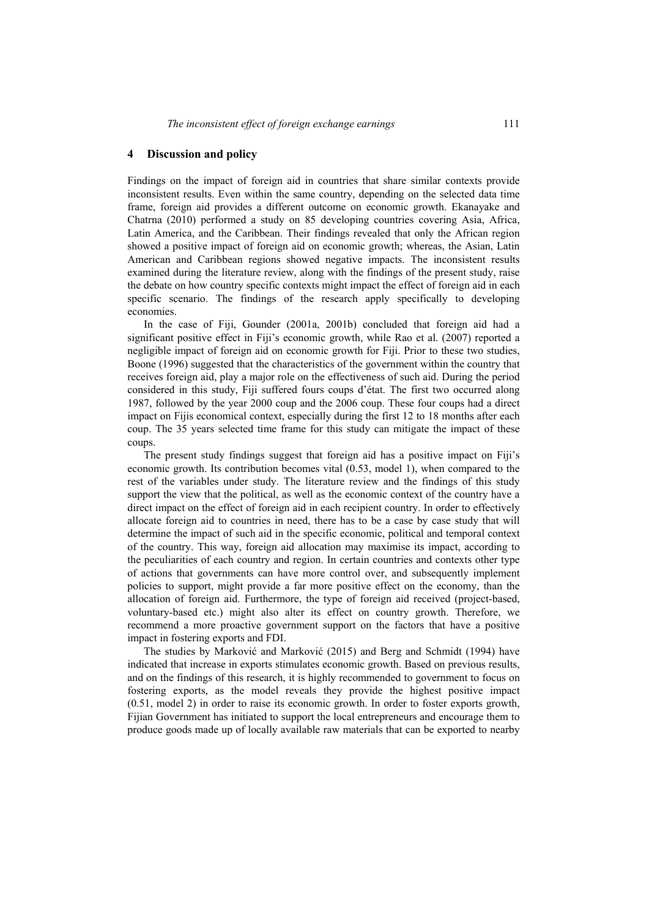### **4 Discussion and policy**

Findings on the impact of foreign aid in countries that share similar contexts provide inconsistent results. Even within the same country, depending on the selected data time frame, foreign aid provides a different outcome on economic growth. Ekanayake and Chatrna (2010) performed a study on 85 developing countries covering Asia, Africa, Latin America, and the Caribbean. Their findings revealed that only the African region showed a positive impact of foreign aid on economic growth; whereas, the Asian, Latin American and Caribbean regions showed negative impacts. The inconsistent results examined during the literature review, along with the findings of the present study, raise the debate on how country specific contexts might impact the effect of foreign aid in each specific scenario. The findings of the research apply specifically to developing economies.

In the case of Fiji, Gounder (2001a, 2001b) concluded that foreign aid had a significant positive effect in Fiji's economic growth, while Rao et al. (2007) reported a negligible impact of foreign aid on economic growth for Fiji. Prior to these two studies, Boone (1996) suggested that the characteristics of the government within the country that receives foreign aid, play a major role on the effectiveness of such aid. During the period considered in this study, Fiji suffered fours coups d'état. The first two occurred along 1987, followed by the year 2000 coup and the 2006 coup. These four coups had a direct impact on Fijis economical context, especially during the first 12 to 18 months after each coup. The 35 years selected time frame for this study can mitigate the impact of these coups.

The present study findings suggest that foreign aid has a positive impact on Fiji's economic growth. Its contribution becomes vital (0.53, model 1), when compared to the rest of the variables under study. The literature review and the findings of this study support the view that the political, as well as the economic context of the country have a direct impact on the effect of foreign aid in each recipient country. In order to effectively allocate foreign aid to countries in need, there has to be a case by case study that will determine the impact of such aid in the specific economic, political and temporal context of the country. This way, foreign aid allocation may maximise its impact, according to the peculiarities of each country and region. In certain countries and contexts other type of actions that governments can have more control over, and subsequently implement policies to support, might provide a far more positive effect on the economy, than the allocation of foreign aid. Furthermore, the type of foreign aid received (project-based, voluntary-based etc.) might also alter its effect on country growth. Therefore, we recommend a more proactive government support on the factors that have a positive impact in fostering exports and FDI.

The studies by Marković and Marković (2015) and Berg and Schmidt (1994) have indicated that increase in exports stimulates economic growth. Based on previous results, and on the findings of this research, it is highly recommended to government to focus on fostering exports, as the model reveals they provide the highest positive impact (0.51, model 2) in order to raise its economic growth. In order to foster exports growth, Fijian Government has initiated to support the local entrepreneurs and encourage them to produce goods made up of locally available raw materials that can be exported to nearby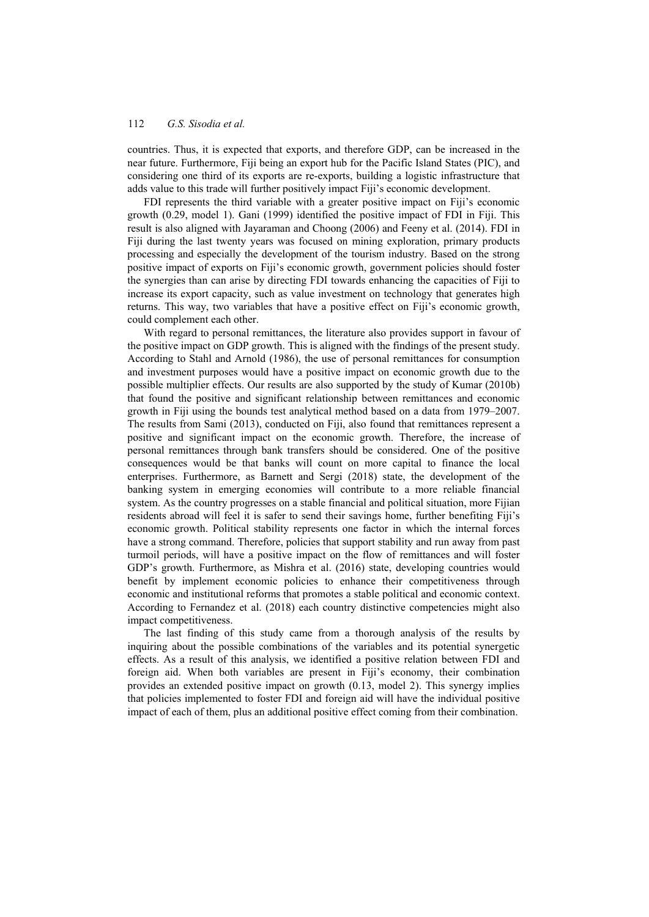countries. Thus, it is expected that exports, and therefore GDP, can be increased in the near future. Furthermore, Fiji being an export hub for the Pacific Island States (PIC), and considering one third of its exports are re-exports, building a logistic infrastructure that adds value to this trade will further positively impact Fiji's economic development.

FDI represents the third variable with a greater positive impact on Fiji's economic growth (0.29, model 1). Gani (1999) identified the positive impact of FDI in Fiji. This result is also aligned with Jayaraman and Choong (2006) and Feeny et al. (2014). FDI in Fiji during the last twenty years was focused on mining exploration, primary products processing and especially the development of the tourism industry. Based on the strong positive impact of exports on Fiji's economic growth, government policies should foster the synergies than can arise by directing FDI towards enhancing the capacities of Fiji to increase its export capacity, such as value investment on technology that generates high returns. This way, two variables that have a positive effect on Fiji's economic growth, could complement each other.

With regard to personal remittances, the literature also provides support in favour of the positive impact on GDP growth. This is aligned with the findings of the present study. According to Stahl and Arnold (1986), the use of personal remittances for consumption and investment purposes would have a positive impact on economic growth due to the possible multiplier effects. Our results are also supported by the study of Kumar (2010b) that found the positive and significant relationship between remittances and economic growth in Fiji using the bounds test analytical method based on a data from 1979–2007. The results from Sami (2013), conducted on Fiji, also found that remittances represent a positive and significant impact on the economic growth. Therefore, the increase of personal remittances through bank transfers should be considered. One of the positive consequences would be that banks will count on more capital to finance the local enterprises. Furthermore, as Barnett and Sergi (2018) state, the development of the banking system in emerging economies will contribute to a more reliable financial system. As the country progresses on a stable financial and political situation, more Fijian residents abroad will feel it is safer to send their savings home, further benefiting Fiji's economic growth. Political stability represents one factor in which the internal forces have a strong command. Therefore, policies that support stability and run away from past turmoil periods, will have a positive impact on the flow of remittances and will foster GDP's growth. Furthermore, as Mishra et al. (2016) state, developing countries would benefit by implement economic policies to enhance their competitiveness through economic and institutional reforms that promotes a stable political and economic context. According to Fernandez et al. (2018) each country distinctive competencies might also impact competitiveness.

The last finding of this study came from a thorough analysis of the results by inquiring about the possible combinations of the variables and its potential synergetic effects. As a result of this analysis, we identified a positive relation between FDI and foreign aid. When both variables are present in Fiji's economy, their combination provides an extended positive impact on growth (0.13, model 2). This synergy implies that policies implemented to foster FDI and foreign aid will have the individual positive impact of each of them, plus an additional positive effect coming from their combination.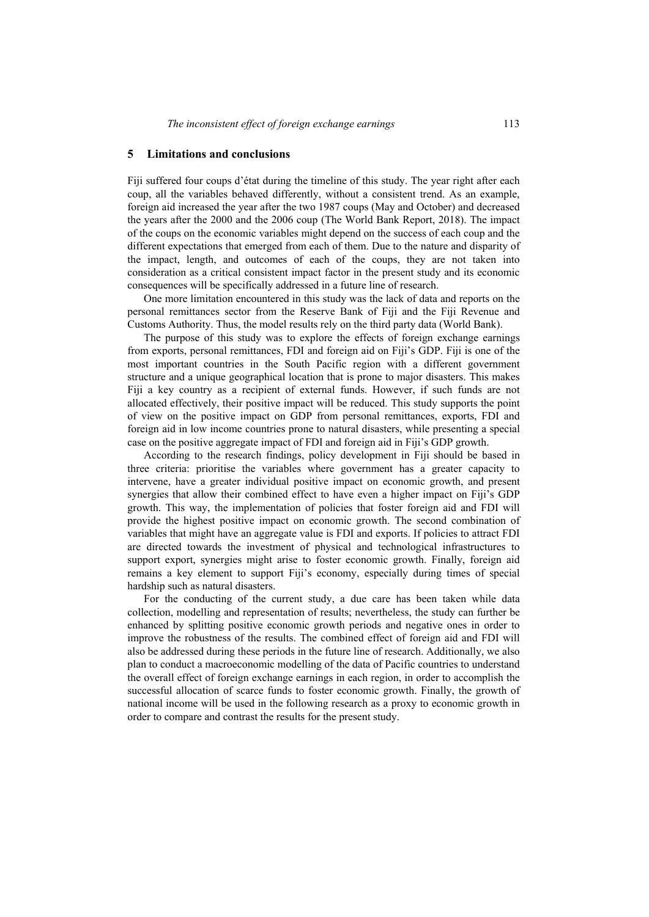### **5 Limitations and conclusions**

Fiji suffered four coups d'état during the timeline of this study. The year right after each coup, all the variables behaved differently, without a consistent trend. As an example, foreign aid increased the year after the two 1987 coups (May and October) and decreased the years after the 2000 and the 2006 coup (The World Bank Report, 2018). The impact of the coups on the economic variables might depend on the success of each coup and the different expectations that emerged from each of them. Due to the nature and disparity of the impact, length, and outcomes of each of the coups, they are not taken into consideration as a critical consistent impact factor in the present study and its economic consequences will be specifically addressed in a future line of research.

One more limitation encountered in this study was the lack of data and reports on the personal remittances sector from the Reserve Bank of Fiji and the Fiji Revenue and Customs Authority. Thus, the model results rely on the third party data (World Bank).

The purpose of this study was to explore the effects of foreign exchange earnings from exports, personal remittances, FDI and foreign aid on Fiji's GDP. Fiji is one of the most important countries in the South Pacific region with a different government structure and a unique geographical location that is prone to major disasters. This makes Fiji a key country as a recipient of external funds. However, if such funds are not allocated effectively, their positive impact will be reduced. This study supports the point of view on the positive impact on GDP from personal remittances, exports, FDI and foreign aid in low income countries prone to natural disasters, while presenting a special case on the positive aggregate impact of FDI and foreign aid in Fiji's GDP growth.

According to the research findings, policy development in Fiji should be based in three criteria: prioritise the variables where government has a greater capacity to intervene, have a greater individual positive impact on economic growth, and present synergies that allow their combined effect to have even a higher impact on Fiji's GDP growth. This way, the implementation of policies that foster foreign aid and FDI will provide the highest positive impact on economic growth. The second combination of variables that might have an aggregate value is FDI and exports. If policies to attract FDI are directed towards the investment of physical and technological infrastructures to support export, synergies might arise to foster economic growth. Finally, foreign aid remains a key element to support Fiji's economy, especially during times of special hardship such as natural disasters.

For the conducting of the current study, a due care has been taken while data collection, modelling and representation of results; nevertheless, the study can further be enhanced by splitting positive economic growth periods and negative ones in order to improve the robustness of the results. The combined effect of foreign aid and FDI will also be addressed during these periods in the future line of research. Additionally, we also plan to conduct a macroeconomic modelling of the data of Pacific countries to understand the overall effect of foreign exchange earnings in each region, in order to accomplish the successful allocation of scarce funds to foster economic growth. Finally, the growth of national income will be used in the following research as a proxy to economic growth in order to compare and contrast the results for the present study.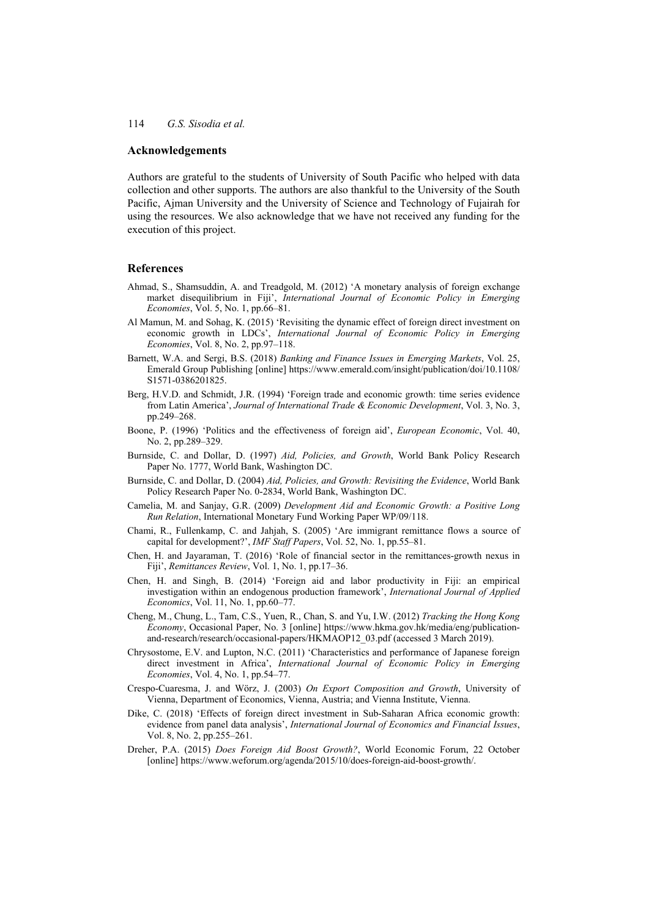### **Acknowledgements**

Authors are grateful to the students of University of South Pacific who helped with data collection and other supports. The authors are also thankful to the University of the South Pacific, Ajman University and the University of Science and Technology of Fujairah for using the resources. We also acknowledge that we have not received any funding for the execution of this project.

### **References**

- Ahmad, S., Shamsuddin, A. and Treadgold, M. (2012) 'A monetary analysis of foreign exchange market disequilibrium in Fiji', *International Journal of Economic Policy in Emerging Economies*, Vol. 5, No. 1, pp.66–81.
- Al Mamun, M. and Sohag, K. (2015) 'Revisiting the dynamic effect of foreign direct investment on economic growth in LDCs', *International Journal of Economic Policy in Emerging Economies*, Vol. 8, No. 2, pp.97–118.
- Barnett, W.A. and Sergi, B.S. (2018) *Banking and Finance Issues in Emerging Markets*, Vol. 25, Emerald Group Publishing [online] https://www.emerald.com/insight/publication/doi/10.1108/ S1571-0386201825.
- Berg, H.V.D. and Schmidt, J.R. (1994) 'Foreign trade and economic growth: time series evidence from Latin America', *Journal of International Trade & Economic Development*, Vol. 3, No. 3, pp.249–268.
- Boone, P. (1996) 'Politics and the effectiveness of foreign aid', *European Economic*, Vol. 40, No. 2, pp.289–329.
- Burnside, C. and Dollar, D. (1997) *Aid, Policies, and Growth*, World Bank Policy Research Paper No. 1777, World Bank, Washington DC.
- Burnside, C. and Dollar, D. (2004) *Aid, Policies, and Growth: Revisiting the Evidence*, World Bank Policy Research Paper No. 0-2834, World Bank, Washington DC.
- Camelia, M. and Sanjay, G.R. (2009) *Development Aid and Economic Growth: a Positive Long Run Relation*, International Monetary Fund Working Paper WP/09/118.
- Chami, R., Fullenkamp, C. and Jahjah, S. (2005) 'Are immigrant remittance flows a source of capital for development?', *IMF Staff Papers*, Vol. 52, No. 1, pp.55–81.
- Chen, H. and Jayaraman, T. (2016) 'Role of financial sector in the remittances-growth nexus in Fiji', *Remittances Review*, Vol. 1, No. 1, pp.17–36.
- Chen, H. and Singh, B. (2014) 'Foreign aid and labor productivity in Fiji: an empirical investigation within an endogenous production framework', *International Journal of Applied Economics*, Vol. 11, No. 1, pp.60–77.
- Cheng, M., Chung, L., Tam, C.S., Yuen, R., Chan, S. and Yu, I.W. (2012) *Tracking the Hong Kong Economy*, Occasional Paper, No. 3 [online] https://www.hkma.gov.hk/media/eng/publicationand-research/research/occasional-papers/HKMAOP12\_03.pdf (accessed 3 March 2019).
- Chrysostome, E.V. and Lupton, N.C. (2011) 'Characteristics and performance of Japanese foreign direct investment in Africa', *International Journal of Economic Policy in Emerging Economies*, Vol. 4, No. 1, pp.54–77.
- Crespo-Cuaresma, J. and Wörz, J. (2003) *On Export Composition and Growth*, University of Vienna, Department of Economics, Vienna, Austria; and Vienna Institute, Vienna.
- Dike, C. (2018) 'Effects of foreign direct investment in Sub-Saharan Africa economic growth: evidence from panel data analysis', *International Journal of Economics and Financial Issues*, Vol. 8, No. 2, pp.255–261.
- Dreher, P.A. (2015) *Does Foreign Aid Boost Growth?*, World Economic Forum, 22 October [online] https://www.weforum.org/agenda/2015/10/does-foreign-aid-boost-growth/.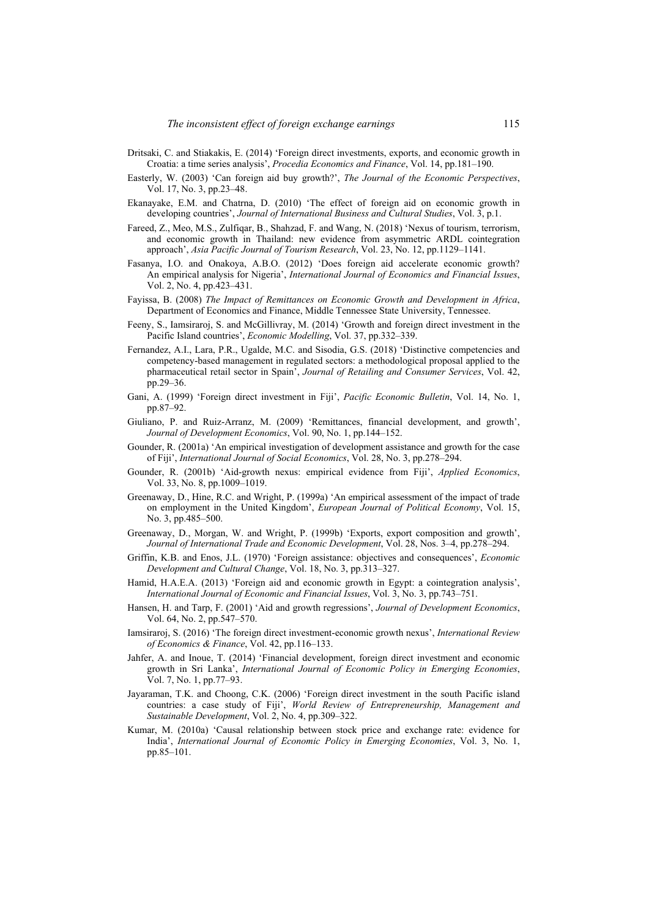- Dritsaki, C. and Stiakakis, E. (2014) 'Foreign direct investments, exports, and economic growth in Croatia: a time series analysis', *Procedia Economics and Finance*, Vol. 14, pp.181–190.
- Easterly, W. (2003) 'Can foreign aid buy growth?', *The Journal of the Economic Perspectives*, Vol. 17, No. 3, pp.23–48.
- Ekanayake, E.M. and Chatrna, D. (2010) 'The effect of foreign aid on economic growth in developing countries', *Journal of International Business and Cultural Studies*, Vol. 3, p.1.
- Fareed, Z., Meo, M.S., Zulfiqar, B., Shahzad, F. and Wang, N. (2018) 'Nexus of tourism, terrorism, and economic growth in Thailand: new evidence from asymmetric ARDL cointegration approach', *Asia Pacific Journal of Tourism Research*, Vol. 23, No. 12, pp.1129–1141.
- Fasanya, I.O. and Onakoya, A.B.O. (2012) 'Does foreign aid accelerate economic growth? An empirical analysis for Nigeria', *International Journal of Economics and Financial Issues*, Vol. 2, No. 4, pp.423–431.
- Fayissa, B. (2008) *The Impact of Remittances on Economic Growth and Development in Africa*, Department of Economics and Finance, Middle Tennessee State University, Tennessee.
- Feeny, S., Iamsiraroj, S. and McGillivray, M. (2014) 'Growth and foreign direct investment in the Pacific Island countries', *Economic Modelling*, Vol. 37, pp.332–339.
- Fernandez, A.I., Lara, P.R., Ugalde, M.C. and Sisodia, G.S. (2018) 'Distinctive competencies and competency-based management in regulated sectors: a methodological proposal applied to the pharmaceutical retail sector in Spain', *Journal of Retailing and Consumer Services*, Vol. 42, pp.29–36.
- Gani, A. (1999) 'Foreign direct investment in Fiji', *Pacific Economic Bulletin*, Vol. 14, No. 1, pp.87–92.
- Giuliano, P. and Ruiz-Arranz, M. (2009) 'Remittances, financial development, and growth', *Journal of Development Economics*, Vol. 90, No. 1, pp.144–152.
- Gounder, R. (2001a) 'An empirical investigation of development assistance and growth for the case of Fiji', *International Journal of Social Economics*, Vol. 28, No. 3, pp.278–294.
- Gounder, R. (2001b) 'Aid-growth nexus: empirical evidence from Fiji', *Applied Economics*, Vol. 33, No. 8, pp.1009–1019.
- Greenaway, D., Hine, R.C. and Wright, P. (1999a) 'An empirical assessment of the impact of trade on employment in the United Kingdom', *European Journal of Political Economy*, Vol. 15, No. 3, pp.485–500.
- Greenaway, D., Morgan, W. and Wright, P. (1999b) 'Exports, export composition and growth', *Journal of International Trade and Economic Development*, Vol. 28, Nos. 3–4, pp.278–294.
- Griffin, K.B. and Enos, J.L. (1970) 'Foreign assistance: objectives and consequences', *Economic Development and Cultural Change*, Vol. 18, No. 3, pp.313–327.
- Hamid, H.A.E.A. (2013) 'Foreign aid and economic growth in Egypt: a cointegration analysis', *International Journal of Economic and Financial Issues*, Vol. 3, No. 3, pp.743–751.
- Hansen, H. and Tarp, F. (2001) 'Aid and growth regressions', *Journal of Development Economics*, Vol. 64, No. 2, pp.547–570.
- Iamsiraroj, S. (2016) 'The foreign direct investment-economic growth nexus', *International Review of Economics & Finance*, Vol. 42, pp.116–133.
- Jahfer, A. and Inoue, T. (2014) 'Financial development, foreign direct investment and economic growth in Sri Lanka', *International Journal of Economic Policy in Emerging Economies*, Vol. 7, No. 1, pp.77–93.
- Jayaraman, T.K. and Choong, C.K. (2006) 'Foreign direct investment in the south Pacific island countries: a case study of Fiji', *World Review of Entrepreneurship, Management and Sustainable Development*, Vol. 2, No. 4, pp.309–322.
- Kumar, M. (2010a) 'Causal relationship between stock price and exchange rate: evidence for India', *International Journal of Economic Policy in Emerging Economies*, Vol. 3, No. 1, pp.85–101.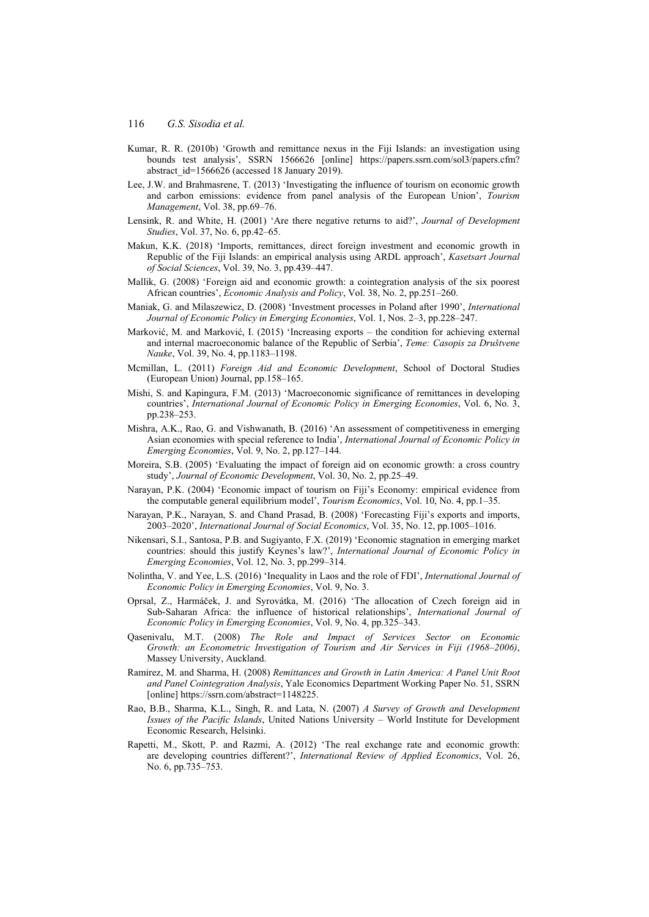- Kumar, R. R. (2010b) 'Growth and remittance nexus in the Fiji Islands: an investigation using bounds test analysis', SSRN 1566626 [online] https://papers.ssrn.com/sol3/papers.cfm? abstract  $id=1566626$  (accessed 18 January 2019).
- Lee, J.W. and Brahmasrene, T. (2013) 'Investigating the influence of tourism on economic growth and carbon emissions: evidence from panel analysis of the European Union', *Tourism Management*, Vol. 38, pp.69–76.
- Lensink, R. and White, H. (2001) 'Are there negative returns to aid?', *Journal of Development Studies*, Vol. 37, No. 6, pp.42–65.
- Makun, K.K. (2018) 'Imports, remittances, direct foreign investment and economic growth in Republic of the Fiji Islands: an empirical analysis using ARDL approach', *Kasetsart Journal of Social Sciences*, Vol. 39, No. 3, pp.439–447.
- Mallik, G. (2008) 'Foreign aid and economic growth: a cointegration analysis of the six poorest African countries', *Economic Analysis and Policy*, Vol. 38, No. 2, pp.251–260.
- Maniak, G. and Milaszewicz, D. (2008) 'Investment processes in Poland after 1990', *International Journal of Economic Policy in Emerging Economies*, Vol. 1, Nos. 2–3, pp.228–247.
- Marković, M. and Marković, I. (2015) 'Increasing exports the condition for achieving external and internal macroeconomic balance of the Republic of Serbia', *Teme: Casopis za Društvene Nauke*, Vol. 39, No. 4, pp.1183–1198.
- Mcmillan, L. (2011) *Foreign Aid and Economic Development*, School of Doctoral Studies (European Union) Journal, pp.158–165.
- Mishi, S. and Kapingura, F.M. (2013) 'Macroeconomic significance of remittances in developing countries', *International Journal of Economic Policy in Emerging Economies*, Vol. 6, No. 3, pp.238–253.
- Mishra, A.K., Rao, G. and Vishwanath, B. (2016) 'An assessment of competitiveness in emerging Asian economies with special reference to India', *International Journal of Economic Policy in Emerging Economies*, Vol. 9, No. 2, pp.127–144.
- Moreira, S.B. (2005) 'Evaluating the impact of foreign aid on economic growth: a cross country study', *Journal of Economic Development*, Vol. 30, No. 2, pp.25–49.
- Narayan, P.K. (2004) 'Economic impact of tourism on Fiji's Economy: empirical evidence from the computable general equilibrium model', *Tourism Economics*, Vol. 10, No. 4, pp.1–35.
- Narayan, P.K., Narayan, S. and Chand Prasad, B. (2008) 'Forecasting Fiji's exports and imports, 2003–2020', *International Journal of Social Economics*, Vol. 35, No. 12, pp.1005–1016.
- Nikensari, S.I., Santosa, P.B. and Sugiyanto, F.X. (2019) 'Economic stagnation in emerging market countries: should this justify Keynes's law?', *International Journal of Economic Policy in Emerging Economies*, Vol. 12, No. 3, pp.299–314.
- Nolintha, V. and Yee, L.S. (2016) 'Inequality in Laos and the role of FDI', *International Journal of Economic Policy in Emerging Economies*, Vol. 9, No. 3.
- Oprsal, Z., Harmáček, J. and Syrovátka, M. (2016) 'The allocation of Czech foreign aid in Sub-Saharan Africa: the influence of historical relationships', *International Journal of Economic Policy in Emerging Economies*, Vol. 9, No. 4, pp.325–343.
- Qasenivalu, M.T. (2008) *The Role and Impact of Services Sector on Economic Growth: an Econometric Investigation of Tourism and Air Services in Fiji (1968–2006)*, Massey University, Auckland.
- Ramirez, M. and Sharma, H. (2008) *Remittances and Growth in Latin America: A Panel Unit Root and Panel Cointegration Analysis*, Yale Economics Department Working Paper No. 51, SSRN [online] https://ssrn.com/abstract=1148225.
- Rao, B.B., Sharma, K.L., Singh, R. and Lata, N. (2007) *A Survey of Growth and Development Issues of the Pacific Islands*, United Nations University – World Institute for Development Economic Research, Helsinki.
- Rapetti, M., Skott, P. and Razmi, A. (2012) 'The real exchange rate and economic growth: are developing countries different?', *International Review of Applied Economics*, Vol. 26, No. 6, pp.735–753.